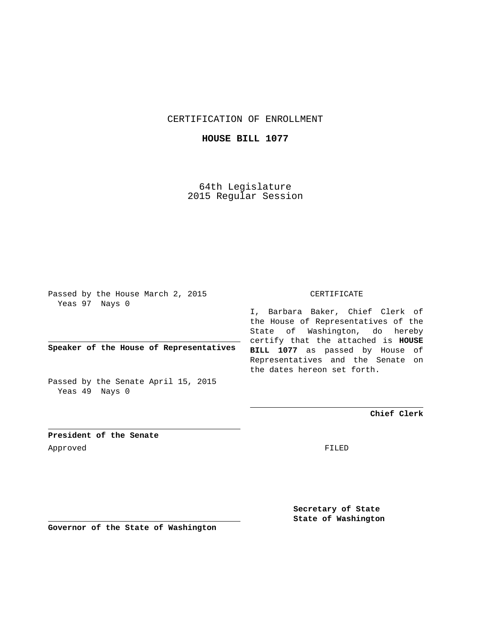CERTIFICATION OF ENROLLMENT

**HOUSE BILL 1077**

64th Legislature 2015 Regular Session

Passed by the House March 2, 2015 Yeas 97 Nays 0

**Speaker of the House of Representatives**

Passed by the Senate April 15, 2015 Yeas 49 Nays 0

CERTIFICATE

I, Barbara Baker, Chief Clerk of the House of Representatives of the State of Washington, do hereby certify that the attached is **HOUSE BILL 1077** as passed by House of Representatives and the Senate on the dates hereon set forth.

**Chief Clerk**

**President of the Senate** Approved FILED

**Secretary of State State of Washington**

**Governor of the State of Washington**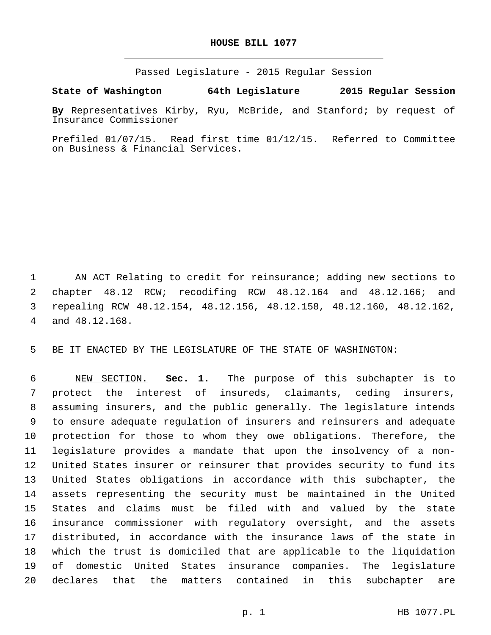## **HOUSE BILL 1077**

Passed Legislature - 2015 Regular Session

**State of Washington 64th Legislature 2015 Regular Session**

**By** Representatives Kirby, Ryu, McBride, and Stanford; by request of Insurance Commissioner

Prefiled 01/07/15. Read first time 01/12/15. Referred to Committee on Business & Financial Services.

 AN ACT Relating to credit for reinsurance; adding new sections to chapter 48.12 RCW; recodifing RCW 48.12.164 and 48.12.166; and repealing RCW 48.12.154, 48.12.156, 48.12.158, 48.12.160, 48.12.162, 4 and 48.12.168.

BE IT ENACTED BY THE LEGISLATURE OF THE STATE OF WASHINGTON:

 NEW SECTION. **Sec. 1.** The purpose of this subchapter is to protect the interest of insureds, claimants, ceding insurers, assuming insurers, and the public generally. The legislature intends to ensure adequate regulation of insurers and reinsurers and adequate protection for those to whom they owe obligations. Therefore, the legislature provides a mandate that upon the insolvency of a non- United States insurer or reinsurer that provides security to fund its United States obligations in accordance with this subchapter, the assets representing the security must be maintained in the United States and claims must be filed with and valued by the state insurance commissioner with regulatory oversight, and the assets distributed, in accordance with the insurance laws of the state in which the trust is domiciled that are applicable to the liquidation of domestic United States insurance companies. The legislature declares that the matters contained in this subchapter are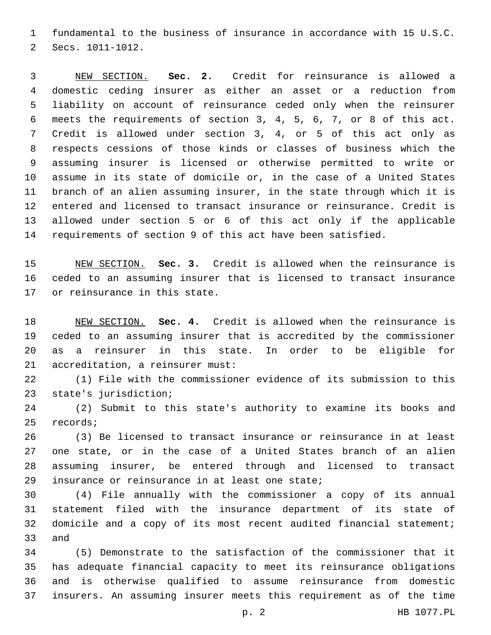fundamental to the business of insurance in accordance with 15 U.S.C. 2 Secs. 1011-1012.

 NEW SECTION. **Sec. 2.** Credit for reinsurance is allowed a domestic ceding insurer as either an asset or a reduction from liability on account of reinsurance ceded only when the reinsurer meets the requirements of section 3, 4, 5, 6, 7, or 8 of this act. Credit is allowed under section 3, 4, or 5 of this act only as respects cessions of those kinds or classes of business which the assuming insurer is licensed or otherwise permitted to write or assume in its state of domicile or, in the case of a United States branch of an alien assuming insurer, in the state through which it is entered and licensed to transact insurance or reinsurance. Credit is allowed under section 5 or 6 of this act only if the applicable requirements of section 9 of this act have been satisfied.

 NEW SECTION. **Sec. 3.** Credit is allowed when the reinsurance is ceded to an assuming insurer that is licensed to transact insurance or reinsurance in this state.

 NEW SECTION. **Sec. 4.** Credit is allowed when the reinsurance is ceded to an assuming insurer that is accredited by the commissioner as a reinsurer in this state. In order to be eligible for accreditation, a reinsurer must:

 (1) File with the commissioner evidence of its submission to this 23 state's jurisdiction;

 (2) Submit to this state's authority to examine its books and 25 records;

 (3) Be licensed to transact insurance or reinsurance in at least one state, or in the case of a United States branch of an alien assuming insurer, be entered through and licensed to transact 29 insurance or reinsurance in at least one state;

 (4) File annually with the commissioner a copy of its annual statement filed with the insurance department of its state of domicile and a copy of its most recent audited financial statement; 33 and

 (5) Demonstrate to the satisfaction of the commissioner that it has adequate financial capacity to meet its reinsurance obligations and is otherwise qualified to assume reinsurance from domestic insurers. An assuming insurer meets this requirement as of the time

p. 2 HB 1077.PL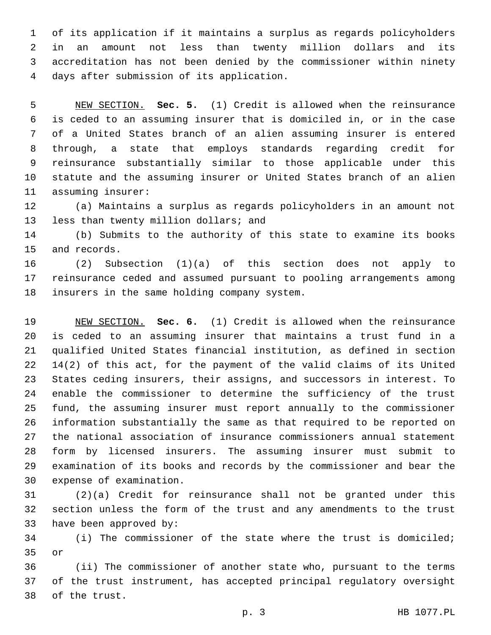of its application if it maintains a surplus as regards policyholders in an amount not less than twenty million dollars and its accreditation has not been denied by the commissioner within ninety days after submission of its application.4

 NEW SECTION. **Sec. 5.** (1) Credit is allowed when the reinsurance is ceded to an assuming insurer that is domiciled in, or in the case of a United States branch of an alien assuming insurer is entered through, a state that employs standards regarding credit for reinsurance substantially similar to those applicable under this statute and the assuming insurer or United States branch of an alien assuming insurer:

 (a) Maintains a surplus as regards policyholders in an amount not 13 less than twenty million dollars; and

 (b) Submits to the authority of this state to examine its books 15 and records.

 (2) Subsection (1)(a) of this section does not apply to reinsurance ceded and assumed pursuant to pooling arrangements among 18 insurers in the same holding company system.

 NEW SECTION. **Sec. 6.** (1) Credit is allowed when the reinsurance is ceded to an assuming insurer that maintains a trust fund in a qualified United States financial institution, as defined in section 14(2) of this act, for the payment of the valid claims of its United States ceding insurers, their assigns, and successors in interest. To enable the commissioner to determine the sufficiency of the trust fund, the assuming insurer must report annually to the commissioner information substantially the same as that required to be reported on the national association of insurance commissioners annual statement form by licensed insurers. The assuming insurer must submit to examination of its books and records by the commissioner and bear the expense of examination.

 (2)(a) Credit for reinsurance shall not be granted under this section unless the form of the trust and any amendments to the trust 33 have been approved by:

 (i) The commissioner of the state where the trust is domiciled; or

 (ii) The commissioner of another state who, pursuant to the terms of the trust instrument, has accepted principal regulatory oversight 38 of the trust.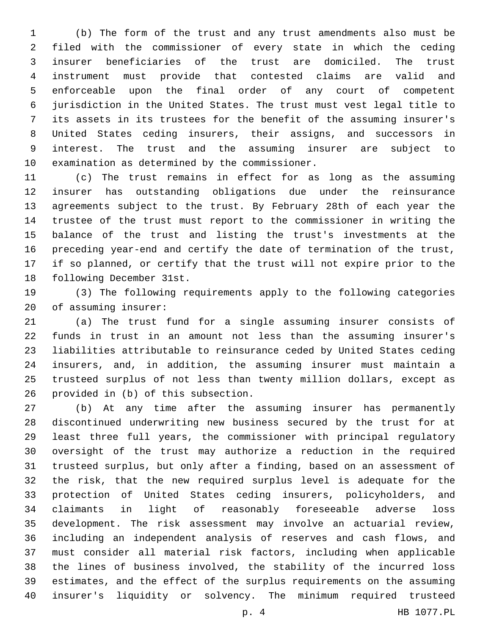(b) The form of the trust and any trust amendments also must be filed with the commissioner of every state in which the ceding insurer beneficiaries of the trust are domiciled. The trust instrument must provide that contested claims are valid and enforceable upon the final order of any court of competent jurisdiction in the United States. The trust must vest legal title to its assets in its trustees for the benefit of the assuming insurer's United States ceding insurers, their assigns, and successors in interest. The trust and the assuming insurer are subject to 10 examination as determined by the commissioner.

 (c) The trust remains in effect for as long as the assuming insurer has outstanding obligations due under the reinsurance agreements subject to the trust. By February 28th of each year the trustee of the trust must report to the commissioner in writing the balance of the trust and listing the trust's investments at the preceding year-end and certify the date of termination of the trust, if so planned, or certify that the trust will not expire prior to the 18 following December 31st.

 (3) The following requirements apply to the following categories 20 of assuming insurer:

 (a) The trust fund for a single assuming insurer consists of funds in trust in an amount not less than the assuming insurer's liabilities attributable to reinsurance ceded by United States ceding insurers, and, in addition, the assuming insurer must maintain a trusteed surplus of not less than twenty million dollars, except as 26 provided in (b) of this subsection.

 (b) At any time after the assuming insurer has permanently discontinued underwriting new business secured by the trust for at least three full years, the commissioner with principal regulatory oversight of the trust may authorize a reduction in the required trusteed surplus, but only after a finding, based on an assessment of the risk, that the new required surplus level is adequate for the protection of United States ceding insurers, policyholders, and claimants in light of reasonably foreseeable adverse loss development. The risk assessment may involve an actuarial review, including an independent analysis of reserves and cash flows, and must consider all material risk factors, including when applicable the lines of business involved, the stability of the incurred loss estimates, and the effect of the surplus requirements on the assuming insurer's liquidity or solvency. The minimum required trusteed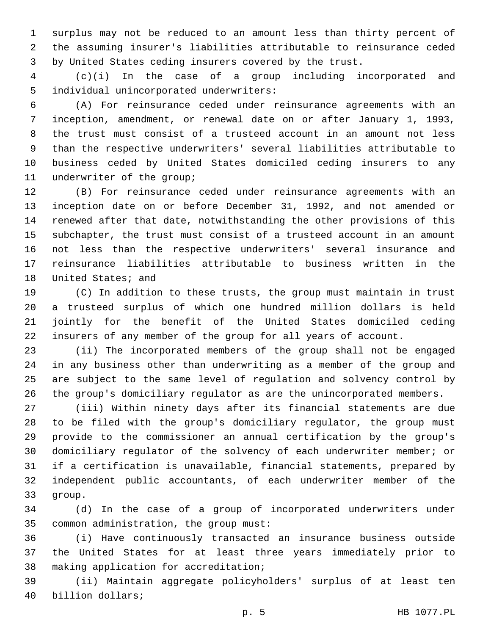surplus may not be reduced to an amount less than thirty percent of the assuming insurer's liabilities attributable to reinsurance ceded by United States ceding insurers covered by the trust.

 (c)(i) In the case of a group including incorporated and 5 individual unincorporated underwriters:

 (A) For reinsurance ceded under reinsurance agreements with an inception, amendment, or renewal date on or after January 1, 1993, the trust must consist of a trusteed account in an amount not less than the respective underwriters' several liabilities attributable to business ceded by United States domiciled ceding insurers to any 11 underwriter of the group;

 (B) For reinsurance ceded under reinsurance agreements with an inception date on or before December 31, 1992, and not amended or renewed after that date, notwithstanding the other provisions of this subchapter, the trust must consist of a trusteed account in an amount not less than the respective underwriters' several insurance and reinsurance liabilities attributable to business written in the 18 United States; and

 (C) In addition to these trusts, the group must maintain in trust a trusteed surplus of which one hundred million dollars is held jointly for the benefit of the United States domiciled ceding insurers of any member of the group for all years of account.

 (ii) The incorporated members of the group shall not be engaged in any business other than underwriting as a member of the group and are subject to the same level of regulation and solvency control by the group's domiciliary regulator as are the unincorporated members.

 (iii) Within ninety days after its financial statements are due to be filed with the group's domiciliary regulator, the group must provide to the commissioner an annual certification by the group's domiciliary regulator of the solvency of each underwriter member; or if a certification is unavailable, financial statements, prepared by independent public accountants, of each underwriter member of the 33 qroup.

 (d) In the case of a group of incorporated underwriters under 35 common administration, the group must:

 (i) Have continuously transacted an insurance business outside the United States for at least three years immediately prior to 38 making application for accreditation;

 (ii) Maintain aggregate policyholders' surplus of at least ten 40 billion dollars;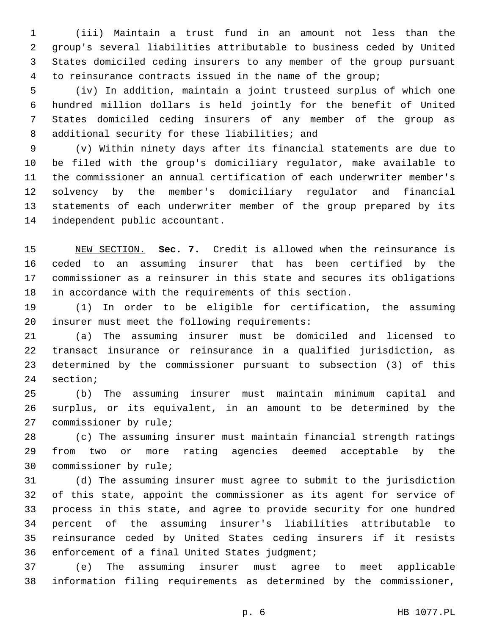(iii) Maintain a trust fund in an amount not less than the group's several liabilities attributable to business ceded by United States domiciled ceding insurers to any member of the group pursuant to reinsurance contracts issued in the name of the group;

 (iv) In addition, maintain a joint trusteed surplus of which one hundred million dollars is held jointly for the benefit of United States domiciled ceding insurers of any member of the group as 8 additional security for these liabilities; and

 (v) Within ninety days after its financial statements are due to be filed with the group's domiciliary regulator, make available to the commissioner an annual certification of each underwriter member's solvency by the member's domiciliary regulator and financial statements of each underwriter member of the group prepared by its 14 independent public accountant.

 NEW SECTION. **Sec. 7.** Credit is allowed when the reinsurance is ceded to an assuming insurer that has been certified by the commissioner as a reinsurer in this state and secures its obligations in accordance with the requirements of this section.

 (1) In order to be eligible for certification, the assuming 20 insurer must meet the following requirements:

 (a) The assuming insurer must be domiciled and licensed to transact insurance or reinsurance in a qualified jurisdiction, as determined by the commissioner pursuant to subsection (3) of this 24 section;

 (b) The assuming insurer must maintain minimum capital and surplus, or its equivalent, in an amount to be determined by the 27 commissioner by rule;

 (c) The assuming insurer must maintain financial strength ratings from two or more rating agencies deemed acceptable by the 30 commissioner by rule;

 (d) The assuming insurer must agree to submit to the jurisdiction of this state, appoint the commissioner as its agent for service of process in this state, and agree to provide security for one hundred percent of the assuming insurer's liabilities attributable to reinsurance ceded by United States ceding insurers if it resists 36 enforcement of a final United States judgment;

 (e) The assuming insurer must agree to meet applicable information filing requirements as determined by the commissioner,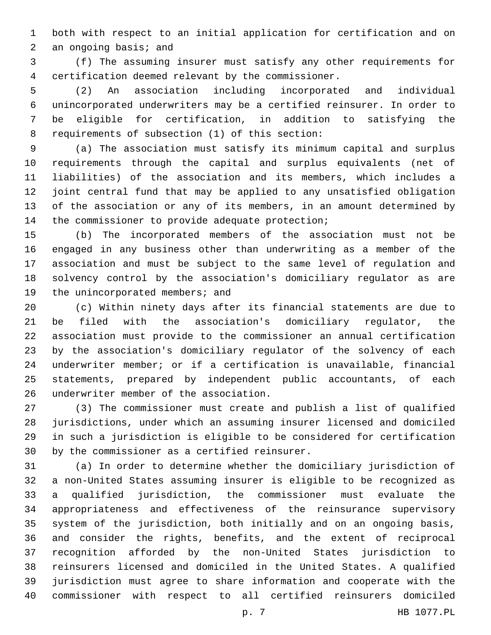both with respect to an initial application for certification and on 2 an ongoing basis; and

 (f) The assuming insurer must satisfy any other requirements for 4 certification deemed relevant by the commissioner.

 (2) An association including incorporated and individual unincorporated underwriters may be a certified reinsurer. In order to be eligible for certification, in addition to satisfying the 8 requirements of subsection (1) of this section:

 (a) The association must satisfy its minimum capital and surplus requirements through the capital and surplus equivalents (net of liabilities) of the association and its members, which includes a joint central fund that may be applied to any unsatisfied obligation of the association or any of its members, in an amount determined by 14 the commissioner to provide adequate protection;

 (b) The incorporated members of the association must not be engaged in any business other than underwriting as a member of the association and must be subject to the same level of regulation and solvency control by the association's domiciliary regulator as are 19 the unincorporated members; and

 (c) Within ninety days after its financial statements are due to be filed with the association's domiciliary regulator, the association must provide to the commissioner an annual certification by the association's domiciliary regulator of the solvency of each underwriter member; or if a certification is unavailable, financial statements, prepared by independent public accountants, of each 26 underwriter member of the association.

 (3) The commissioner must create and publish a list of qualified jurisdictions, under which an assuming insurer licensed and domiciled in such a jurisdiction is eligible to be considered for certification 30 by the commissioner as a certified reinsurer.

 (a) In order to determine whether the domiciliary jurisdiction of a non-United States assuming insurer is eligible to be recognized as a qualified jurisdiction, the commissioner must evaluate the appropriateness and effectiveness of the reinsurance supervisory system of the jurisdiction, both initially and on an ongoing basis, and consider the rights, benefits, and the extent of reciprocal recognition afforded by the non-United States jurisdiction to reinsurers licensed and domiciled in the United States. A qualified jurisdiction must agree to share information and cooperate with the commissioner with respect to all certified reinsurers domiciled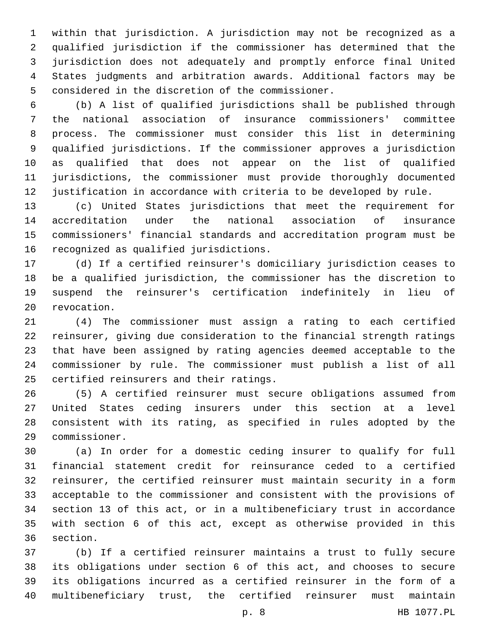within that jurisdiction. A jurisdiction may not be recognized as a qualified jurisdiction if the commissioner has determined that the jurisdiction does not adequately and promptly enforce final United States judgments and arbitration awards. Additional factors may be 5 considered in the discretion of the commissioner.

 (b) A list of qualified jurisdictions shall be published through the national association of insurance commissioners' committee process. The commissioner must consider this list in determining qualified jurisdictions. If the commissioner approves a jurisdiction as qualified that does not appear on the list of qualified jurisdictions, the commissioner must provide thoroughly documented justification in accordance with criteria to be developed by rule.

 (c) United States jurisdictions that meet the requirement for accreditation under the national association of insurance commissioners' financial standards and accreditation program must be 16 recognized as qualified jurisdictions.

 (d) If a certified reinsurer's domiciliary jurisdiction ceases to be a qualified jurisdiction, the commissioner has the discretion to suspend the reinsurer's certification indefinitely in lieu of 20 revocation.

 (4) The commissioner must assign a rating to each certified reinsurer, giving due consideration to the financial strength ratings that have been assigned by rating agencies deemed acceptable to the commissioner by rule. The commissioner must publish a list of all 25 certified reinsurers and their ratings.

 (5) A certified reinsurer must secure obligations assumed from United States ceding insurers under this section at a level consistent with its rating, as specified in rules adopted by the commissioner.29

 (a) In order for a domestic ceding insurer to qualify for full financial statement credit for reinsurance ceded to a certified reinsurer, the certified reinsurer must maintain security in a form acceptable to the commissioner and consistent with the provisions of section 13 of this act, or in a multibeneficiary trust in accordance with section 6 of this act, except as otherwise provided in this 36 section.

 (b) If a certified reinsurer maintains a trust to fully secure its obligations under section 6 of this act, and chooses to secure its obligations incurred as a certified reinsurer in the form of a multibeneficiary trust, the certified reinsurer must maintain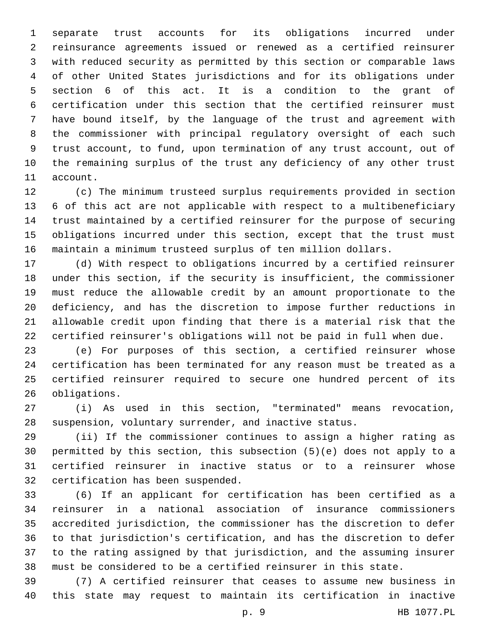separate trust accounts for its obligations incurred under reinsurance agreements issued or renewed as a certified reinsurer with reduced security as permitted by this section or comparable laws of other United States jurisdictions and for its obligations under section 6 of this act. It is a condition to the grant of certification under this section that the certified reinsurer must have bound itself, by the language of the trust and agreement with the commissioner with principal regulatory oversight of each such trust account, to fund, upon termination of any trust account, out of the remaining surplus of the trust any deficiency of any other trust 11 account.

 (c) The minimum trusteed surplus requirements provided in section 6 of this act are not applicable with respect to a multibeneficiary trust maintained by a certified reinsurer for the purpose of securing obligations incurred under this section, except that the trust must maintain a minimum trusteed surplus of ten million dollars.

 (d) With respect to obligations incurred by a certified reinsurer under this section, if the security is insufficient, the commissioner must reduce the allowable credit by an amount proportionate to the deficiency, and has the discretion to impose further reductions in allowable credit upon finding that there is a material risk that the certified reinsurer's obligations will not be paid in full when due.

 (e) For purposes of this section, a certified reinsurer whose certification has been terminated for any reason must be treated as a certified reinsurer required to secure one hundred percent of its 26 obligations.

 (i) As used in this section, "terminated" means revocation, suspension, voluntary surrender, and inactive status.

 (ii) If the commissioner continues to assign a higher rating as permitted by this section, this subsection (5)(e) does not apply to a certified reinsurer in inactive status or to a reinsurer whose 32 certification has been suspended.

 (6) If an applicant for certification has been certified as a reinsurer in a national association of insurance commissioners accredited jurisdiction, the commissioner has the discretion to defer to that jurisdiction's certification, and has the discretion to defer to the rating assigned by that jurisdiction, and the assuming insurer must be considered to be a certified reinsurer in this state.

 (7) A certified reinsurer that ceases to assume new business in this state may request to maintain its certification in inactive

p. 9 HB 1077.PL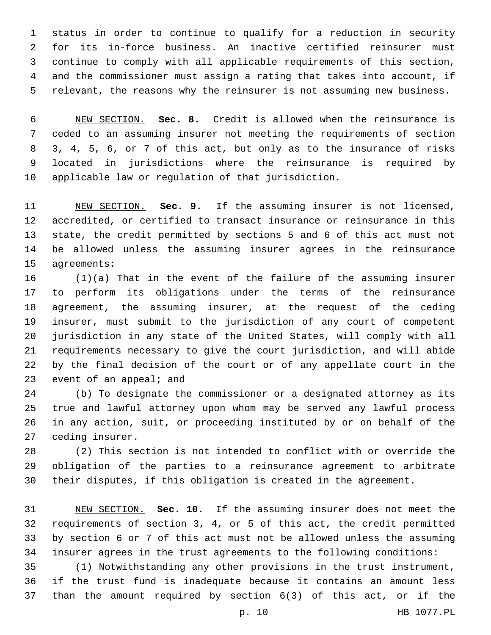status in order to continue to qualify for a reduction in security for its in-force business. An inactive certified reinsurer must continue to comply with all applicable requirements of this section, and the commissioner must assign a rating that takes into account, if relevant, the reasons why the reinsurer is not assuming new business.

 NEW SECTION. **Sec. 8.** Credit is allowed when the reinsurance is ceded to an assuming insurer not meeting the requirements of section 3, 4, 5, 6, or 7 of this act, but only as to the insurance of risks located in jurisdictions where the reinsurance is required by applicable law or regulation of that jurisdiction.

 NEW SECTION. **Sec. 9.** If the assuming insurer is not licensed, accredited, or certified to transact insurance or reinsurance in this state, the credit permitted by sections 5 and 6 of this act must not be allowed unless the assuming insurer agrees in the reinsurance agreements:

 (1)(a) That in the event of the failure of the assuming insurer to perform its obligations under the terms of the reinsurance agreement, the assuming insurer, at the request of the ceding insurer, must submit to the jurisdiction of any court of competent jurisdiction in any state of the United States, will comply with all requirements necessary to give the court jurisdiction, and will abide by the final decision of the court or of any appellate court in the 23 event of an appeal; and

 (b) To designate the commissioner or a designated attorney as its true and lawful attorney upon whom may be served any lawful process in any action, suit, or proceeding instituted by or on behalf of the 27 ceding insurer.

 (2) This section is not intended to conflict with or override the obligation of the parties to a reinsurance agreement to arbitrate their disputes, if this obligation is created in the agreement.

 NEW SECTION. **Sec. 10.** If the assuming insurer does not meet the requirements of section 3, 4, or 5 of this act, the credit permitted by section 6 or 7 of this act must not be allowed unless the assuming insurer agrees in the trust agreements to the following conditions:

 (1) Notwithstanding any other provisions in the trust instrument, if the trust fund is inadequate because it contains an amount less than the amount required by section 6(3) of this act, or if the

p. 10 HB 1077.PL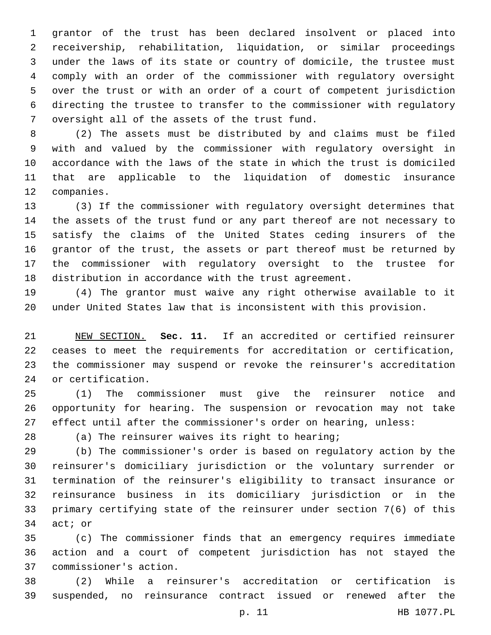grantor of the trust has been declared insolvent or placed into receivership, rehabilitation, liquidation, or similar proceedings under the laws of its state or country of domicile, the trustee must comply with an order of the commissioner with regulatory oversight over the trust or with an order of a court of competent jurisdiction directing the trustee to transfer to the commissioner with regulatory 7 oversight all of the assets of the trust fund.

 (2) The assets must be distributed by and claims must be filed with and valued by the commissioner with regulatory oversight in accordance with the laws of the state in which the trust is domiciled that are applicable to the liquidation of domestic insurance 12 companies.

 (3) If the commissioner with regulatory oversight determines that the assets of the trust fund or any part thereof are not necessary to satisfy the claims of the United States ceding insurers of the grantor of the trust, the assets or part thereof must be returned by the commissioner with regulatory oversight to the trustee for distribution in accordance with the trust agreement.

 (4) The grantor must waive any right otherwise available to it under United States law that is inconsistent with this provision.

 NEW SECTION. **Sec. 11.** If an accredited or certified reinsurer ceases to meet the requirements for accreditation or certification, the commissioner may suspend or revoke the reinsurer's accreditation or certification.

 (1) The commissioner must give the reinsurer notice and opportunity for hearing. The suspension or revocation may not take effect until after the commissioner's order on hearing, unless:

(a) The reinsurer waives its right to hearing;

 (b) The commissioner's order is based on regulatory action by the reinsurer's domiciliary jurisdiction or the voluntary surrender or termination of the reinsurer's eligibility to transact insurance or reinsurance business in its domiciliary jurisdiction or in the primary certifying state of the reinsurer under section 7(6) of this 34 act; or

 (c) The commissioner finds that an emergency requires immediate action and a court of competent jurisdiction has not stayed the commissioner's action.37

 (2) While a reinsurer's accreditation or certification is suspended, no reinsurance contract issued or renewed after the

p. 11 HB 1077.PL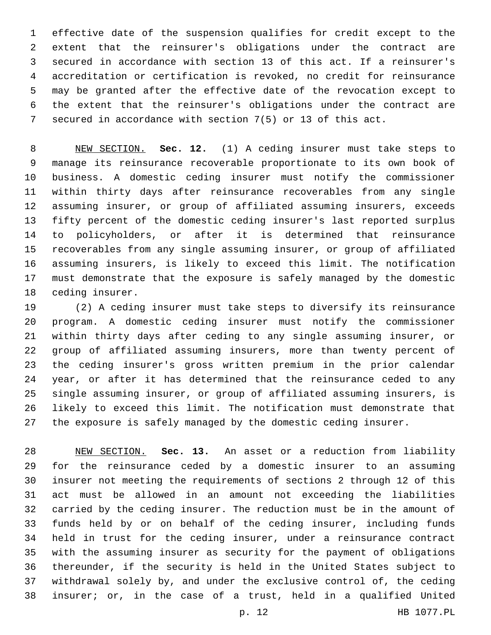effective date of the suspension qualifies for credit except to the extent that the reinsurer's obligations under the contract are secured in accordance with section 13 of this act. If a reinsurer's accreditation or certification is revoked, no credit for reinsurance may be granted after the effective date of the revocation except to the extent that the reinsurer's obligations under the contract are secured in accordance with section 7(5) or 13 of this act.

 NEW SECTION. **Sec. 12.** (1) A ceding insurer must take steps to manage its reinsurance recoverable proportionate to its own book of business. A domestic ceding insurer must notify the commissioner within thirty days after reinsurance recoverables from any single assuming insurer, or group of affiliated assuming insurers, exceeds fifty percent of the domestic ceding insurer's last reported surplus to policyholders, or after it is determined that reinsurance recoverables from any single assuming insurer, or group of affiliated assuming insurers, is likely to exceed this limit. The notification must demonstrate that the exposure is safely managed by the domestic ceding insurer.

 (2) A ceding insurer must take steps to diversify its reinsurance program. A domestic ceding insurer must notify the commissioner within thirty days after ceding to any single assuming insurer, or group of affiliated assuming insurers, more than twenty percent of the ceding insurer's gross written premium in the prior calendar year, or after it has determined that the reinsurance ceded to any single assuming insurer, or group of affiliated assuming insurers, is likely to exceed this limit. The notification must demonstrate that the exposure is safely managed by the domestic ceding insurer.

 NEW SECTION. **Sec. 13.** An asset or a reduction from liability for the reinsurance ceded by a domestic insurer to an assuming insurer not meeting the requirements of sections 2 through 12 of this act must be allowed in an amount not exceeding the liabilities carried by the ceding insurer. The reduction must be in the amount of funds held by or on behalf of the ceding insurer, including funds held in trust for the ceding insurer, under a reinsurance contract with the assuming insurer as security for the payment of obligations thereunder, if the security is held in the United States subject to withdrawal solely by, and under the exclusive control of, the ceding insurer; or, in the case of a trust, held in a qualified United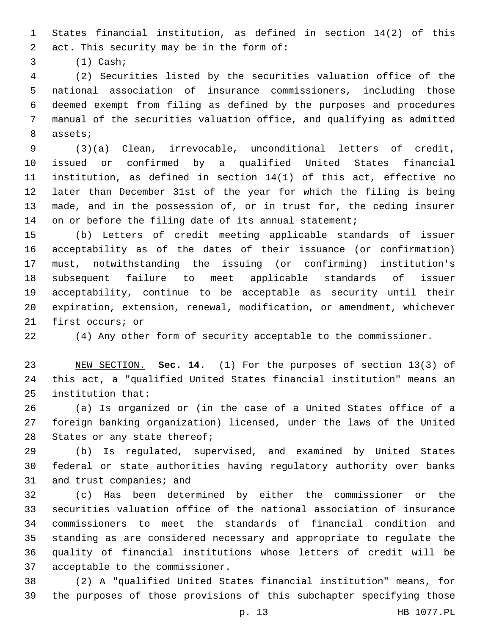States financial institution, as defined in section 14(2) of this 2 act. This security may be in the form of:

(1) Cash;3

 (2) Securities listed by the securities valuation office of the national association of insurance commissioners, including those deemed exempt from filing as defined by the purposes and procedures manual of the securities valuation office, and qualifying as admitted 8 assets;

 (3)(a) Clean, irrevocable, unconditional letters of credit, issued or confirmed by a qualified United States financial institution, as defined in section 14(1) of this act, effective no later than December 31st of the year for which the filing is being made, and in the possession of, or in trust for, the ceding insurer 14 on or before the filing date of its annual statement;

 (b) Letters of credit meeting applicable standards of issuer acceptability as of the dates of their issuance (or confirmation) must, notwithstanding the issuing (or confirming) institution's subsequent failure to meet applicable standards of issuer acceptability, continue to be acceptable as security until their expiration, extension, renewal, modification, or amendment, whichever 21 first occurs; or

(4) Any other form of security acceptable to the commissioner.

 NEW SECTION. **Sec. 14.** (1) For the purposes of section 13(3) of this act, a "qualified United States financial institution" means an institution that:

 (a) Is organized or (in the case of a United States office of a foreign banking organization) licensed, under the laws of the United 28 States or any state thereof;

 (b) Is regulated, supervised, and examined by United States federal or state authorities having regulatory authority over banks 31 and trust companies; and

 (c) Has been determined by either the commissioner or the securities valuation office of the national association of insurance commissioners to meet the standards of financial condition and standing as are considered necessary and appropriate to regulate the quality of financial institutions whose letters of credit will be 37 acceptable to the commissioner.

 (2) A "qualified United States financial institution" means, for the purposes of those provisions of this subchapter specifying those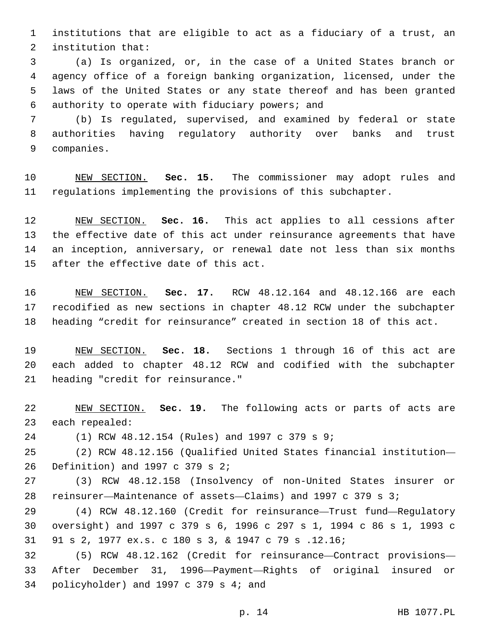institutions that are eligible to act as a fiduciary of a trust, an 2 institution that:

 (a) Is organized, or, in the case of a United States branch or agency office of a foreign banking organization, licensed, under the laws of the United States or any state thereof and has been granted 6 authority to operate with fiduciary powers; and

 (b) Is regulated, supervised, and examined by federal or state authorities having regulatory authority over banks and trust 9 companies.

 NEW SECTION. **Sec. 15.** The commissioner may adopt rules and regulations implementing the provisions of this subchapter.

 NEW SECTION. **Sec. 16.** This act applies to all cessions after the effective date of this act under reinsurance agreements that have an inception, anniversary, or renewal date not less than six months after the effective date of this act.

 NEW SECTION. **Sec. 17.** RCW 48.12.164 and 48.12.166 are each recodified as new sections in chapter 48.12 RCW under the subchapter heading "credit for reinsurance" created in section 18 of this act.

 NEW SECTION. **Sec. 18.** Sections 1 through 16 of this act are each added to chapter 48.12 RCW and codified with the subchapter heading "credit for reinsurance."

 NEW SECTION. **Sec. 19.** The following acts or parts of acts are each repealed:

(1) RCW 48.12.154 (Rules) and 1997 c 379 s 9;24

 (2) RCW 48.12.156 (Qualified United States financial institution— 26 Definition) and c 379 s 2;

 (3) RCW 48.12.158 (Insolvency of non-United States insurer or reinsurer—Maintenance of assets—Claims) and 1997 c 379 s 3;

 (4) RCW 48.12.160 (Credit for reinsurance—Trust fund—Regulatory oversight) and 1997 c 379 s 6, 1996 c 297 s 1, 1994 c 86 s 1, 1993 c 91 s 2, 1977 ex.s. c 180 s 3, & 1947 c 79 s .12.16;

 (5) RCW 48.12.162 (Credit for reinsurance—Contract provisions— After December 31, 1996—Payment—Rights of original insured or 34 policyholder) and c 379 s 4; and